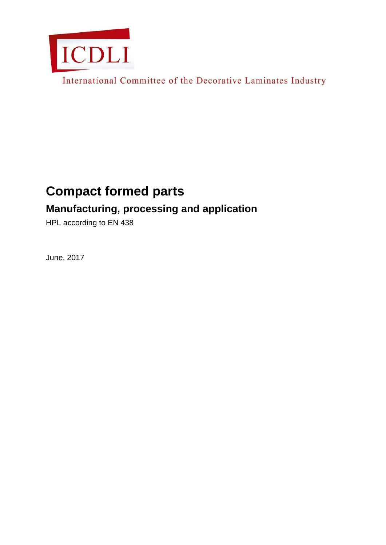

International Committee of the Decorative Laminates Industry

# **Compact formed parts**

## **Manufacturing, processing and application**

HPL according to EN 438

June, 2017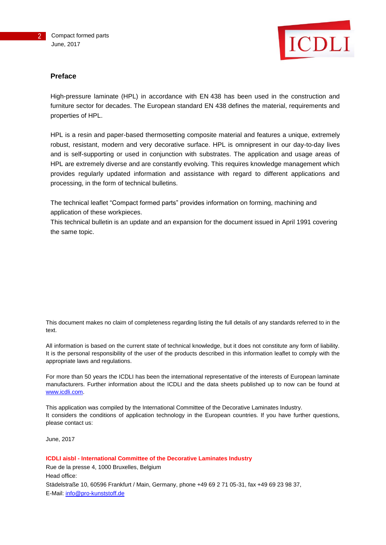

#### **Preface**

High-pressure laminate (HPL) in accordance with EN 438 has been used in the construction and furniture sector for decades. The European standard EN 438 defines the material, requirements and properties of HPL.

HPL is a resin and paper-based thermosetting composite material and features a unique, extremely robust, resistant, modern and very decorative surface. HPL is omnipresent in our day-to-day lives and is self-supporting or used in conjunction with substrates. The application and usage areas of HPL are extremely diverse and are constantly evolving. This requires knowledge management which provides regularly updated information and assistance with regard to different applications and processing, in the form of technical bulletins.

The technical leaflet "Compact formed parts" provides information on forming, machining and application of these workpieces.

This technical bulletin is an update and an expansion for the document issued in April 1991 covering the same topic.

This document makes no claim of completeness regarding listing the full details of any standards referred to in the text.

All information is based on the current state of technical knowledge, but it does not constitute any form of liability. It is the personal responsibility of the user of the products described in this information leaflet to comply with the appropriate laws and regulations.

For more than 50 years the ICDLI has been the international representative of the interests of European laminate manufacturers. Further information about the ICDLI and the data sheets published up to now can be found at [www.icdli.com.](http://www.icdli.com/)

This application was compiled by the International Committee of the Decorative Laminates Industry. It considers the conditions of application technology in the European countries. If you have further questions, please contact us:

June, 2017

**ICDLI aisbl - International Committee of the Decorative Laminates Industry** Rue de la presse 4, 1000 Bruxelles, Belgium Head office: Städelstraße 10, 60596 Frankfurt / Main, Germany, phone +49 69 2 71 05-31, fax +49 69 23 98 37, E-Mail: [info@pro-kunststoff.de](mailto:info@pro-kunststoff.de)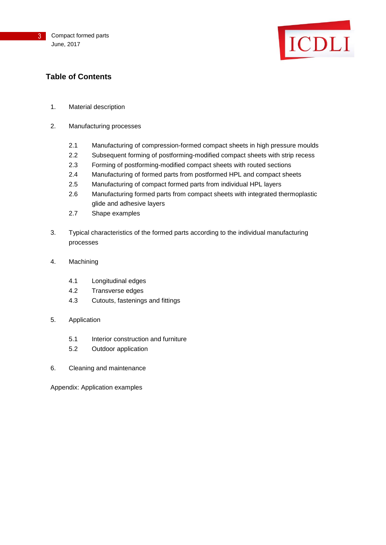

### **Table of Contents**

- 1. Material description
- 2. Manufacturing processes
	- 2.1 Manufacturing of compression-formed compact sheets in high pressure moulds
	- 2.2 Subsequent forming of postforming-modified compact sheets with strip recess
	- 2.3 Forming of postforming-modified compact sheets with routed sections
	- 2.4 Manufacturing of formed parts from postformed HPL and compact sheets
	- 2.5 Manufacturing of compact formed parts from individual HPL layers
	- 2.6 Manufacturing formed parts from compact sheets with integrated thermoplastic glide and adhesive layers
	- 2.7 Shape examples
- 3. Typical characteristics of the formed parts according to the individual manufacturing processes
- 4. Machining
	- 4.1 Longitudinal edges
	- 4.2 Transverse edges
	- 4.3 Cutouts, fastenings and fittings
- 5. Application
	- 5.1 Interior construction and furniture
	- 5.2 Outdoor application
- 6. Cleaning and maintenance

Appendix: Application examples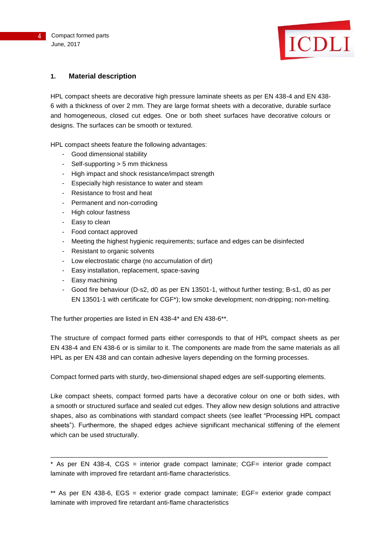

### **1. Material description**

HPL compact sheets are decorative high pressure laminate sheets as per EN 438-4 and EN 438- 6 with a thickness of over 2 mm. They are large format sheets with a decorative, durable surface and homogeneous, closed cut edges. One or both sheet surfaces have decorative colours or designs. The surfaces can be smooth or textured.

HPL compact sheets feature the following advantages:

- Good dimensional stability
- Self-supporting > 5 mm thickness
- High impact and shock resistance/impact strength
- Especially high resistance to water and steam
- Resistance to frost and heat
- Permanent and non-corroding
- High colour fastness
- Easy to clean
- Food contact approved
- Meeting the highest hygienic requirements; surface and edges can be disinfected
- Resistant to organic solvents
- Low electrostatic charge (no accumulation of dirt)
- Easy installation, replacement, space-saving
- Easy machining
- Good fire behaviour (D-s2, d0 as per EN 13501-1, without further testing; B-s1, d0 as per EN 13501-1 with certificate for CGF\*); low smoke development; non-dripping; non-melting.

The further properties are listed in EN 438-4\* and EN 438-6\*\*.

The structure of compact formed parts either corresponds to that of HPL compact sheets as per EN 438-4 and EN 438-6 or is similar to it. The components are made from the same materials as all HPL as per EN 438 and can contain adhesive layers depending on the forming processes.

Compact formed parts with sturdy, two-dimensional shaped edges are self-supporting elements.

Like compact sheets, compact formed parts have a decorative colour on one or both sides, with a smooth or structured surface and sealed cut edges. They allow new design solutions and attractive shapes, also as combinations with standard compact sheets (see leaflet "Processing HPL compact sheets"). Furthermore, the shaped edges achieve significant mechanical stiffening of the element which can be used structurally.

\* As per EN 438-4, CGS = interior grade compact laminate; CGF= interior grade compact laminate with improved fire retardant anti-flame characteristics.

\_\_\_\_\_\_\_\_\_\_\_\_\_\_\_\_\_\_\_\_\_\_\_\_\_\_\_\_\_\_\_\_\_\_\_\_\_\_\_\_\_\_\_\_\_\_\_\_\_\_\_\_\_\_\_\_\_\_\_\_\_\_\_\_\_\_\_\_\_\_\_\_\_\_\_\_\_

\*\* As per EN 438-6, EGS = exterior grade compact laminate; EGF= exterior grade compact laminate with improved fire retardant anti-flame characteristics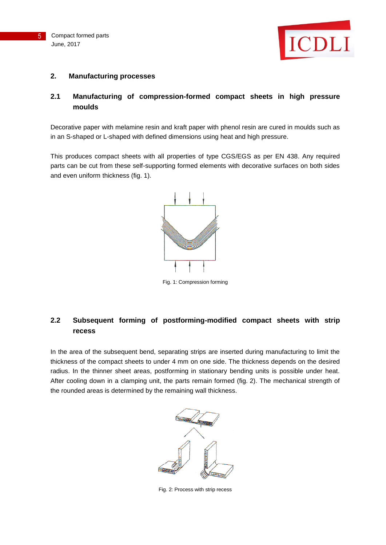



#### **2. Manufacturing processes**

### **2.1 Manufacturing of compression-formed compact sheets in high pressure moulds**

Decorative paper with melamine resin and kraft paper with phenol resin are cured in moulds such as in an S-shaped or L-shaped with defined dimensions using heat and high pressure.

This produces compact sheets with all properties of type CGS/EGS as per EN 438. Any required parts can be cut from these self-supporting formed elements with decorative surfaces on both sides and even uniform thickness (fig. 1).



Fig. 1: Compression forming

### **2.2 Subsequent forming of postforming-modified compact sheets with strip recess**

In the area of the subsequent bend, separating strips are inserted during manufacturing to limit the thickness of the compact sheets to under 4 mm on one side. The thickness depends on the desired radius. In the thinner sheet areas, postforming in stationary bending units is possible under heat. After cooling down in a clamping unit, the parts remain formed (fig. 2). The mechanical strength of the rounded areas is determined by the remaining wall thickness.



Fig. 2: Process with strip recess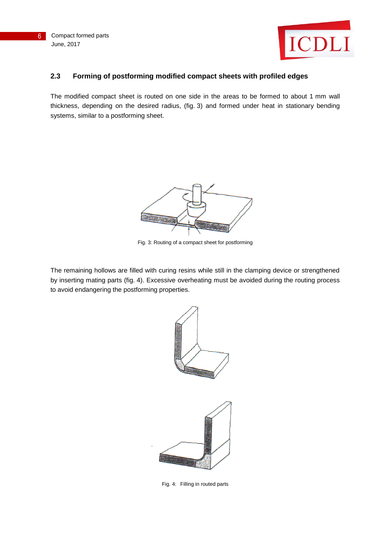

### **2.3 Forming of postforming modified compact sheets with profiled edges**

The modified compact sheet is routed on one side in the areas to be formed to about 1 mm wall thickness, depending on the desired radius, (fig. 3) and formed under heat in stationary bending systems, similar to a postforming sheet.



Fig. 3: Routing of a compact sheet for postforming

The remaining hollows are filled with curing resins while still in the clamping device or strengthened by inserting mating parts (fig. 4). Excessive overheating must be avoided during the routing process to avoid endangering the postforming properties.



Fig. 4: Filling in routed parts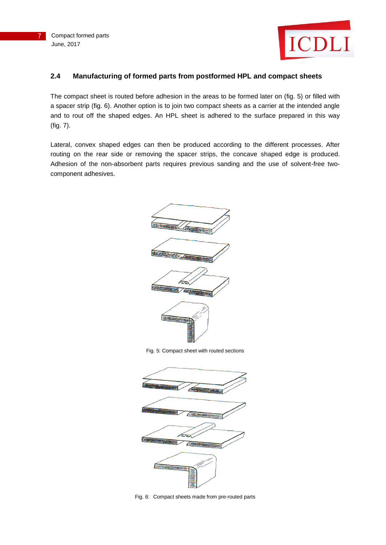



### **2.4 Manufacturing of formed parts from postformed HPL and compact sheets**

The compact sheet is routed before adhesion in the areas to be formed later on (fig. 5) or filled with a spacer strip (fig. 6). Another option is to join two compact sheets as a carrier at the intended angle and to rout off the shaped edges. An HPL sheet is adhered to the surface prepared in this way (fig. 7).

Lateral, convex shaped edges can then be produced according to the different processes. After routing on the rear side or removing the spacer strips, the concave shaped edge is produced. Adhesion of the non-absorbent parts requires previous sanding and the use of solvent-free twocomponent adhesives.





Fig. 6: Compact sheets made from pre-routed parts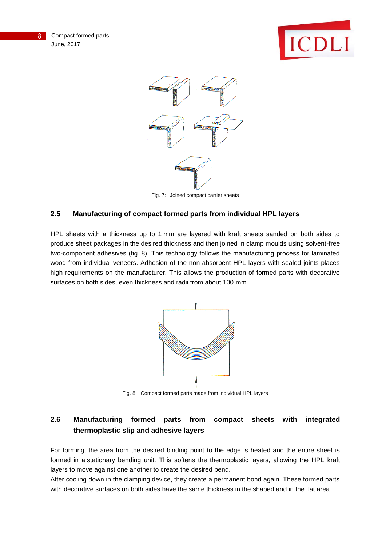



Fig. 7: Joined compact carrier sheets

### **2.5 Manufacturing of compact formed parts from individual HPL layers**

HPL sheets with a thickness up to 1 mm are layered with kraft sheets sanded on both sides to produce sheet packages in the desired thickness and then joined in clamp moulds using solvent-free two-component adhesives (fig. 8). This technology follows the manufacturing process for laminated wood from individual veneers. Adhesion of the non-absorbent HPL layers with sealed joints places high requirements on the manufacturer. This allows the production of formed parts with decorative surfaces on both sides, even thickness and radii from about 100 mm.



Fig. 8: Compact formed parts made from individual HPL layers

### **2.6 Manufacturing formed parts from compact sheets with integrated thermoplastic slip and adhesive layers**

For forming, the area from the desired binding point to the edge is heated and the entire sheet is formed in a stationary bending unit. This softens the thermoplastic layers, allowing the HPL kraft layers to move against one another to create the desired bend.

After cooling down in the clamping device, they create a permanent bond again. These formed parts with decorative surfaces on both sides have the same thickness in the shaped and in the flat area.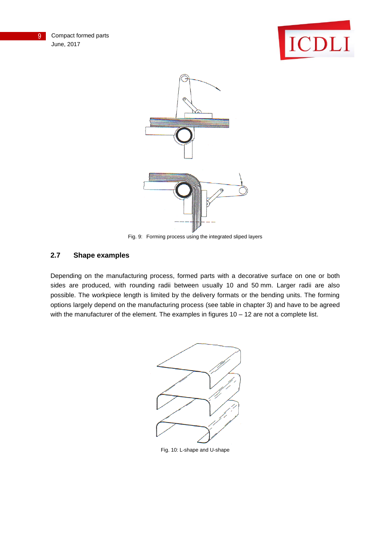





Fig. 9: Forming process using the integrated sliped layers

### **2.7 Shape examples**

Depending on the manufacturing process, formed parts with a decorative surface on one or both sides are produced, with rounding radii between usually 10 and 50 mm. Larger radii are also possible. The workpiece length is limited by the delivery formats or the bending units. The forming options largely depend on the manufacturing process (see table in chapter 3) and have to be agreed with the manufacturer of the element. The examples in figures 10 - 12 are not a complete list.



Fig. 10: L-shape and U-shape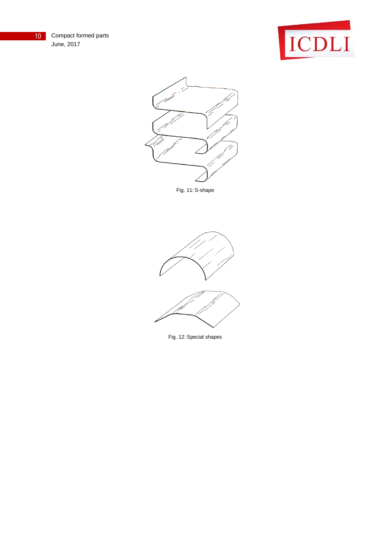10 Compact formed parts June, 2017





Fig. 11: S-shape



Fig. 12: Special shapes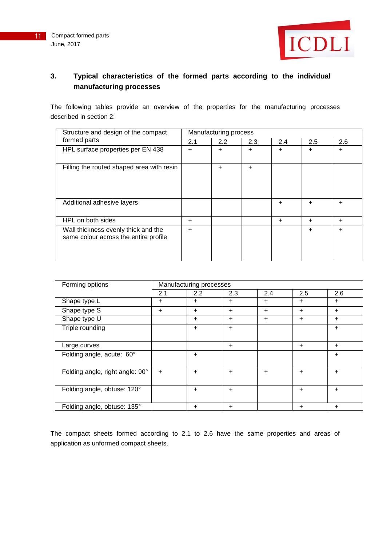

### **3. Typical characteristics of the formed parts according to the individual manufacturing processes**

The following tables provide an overview of the properties for the manufacturing processes described in section 2:

| Structure and design of the compact<br>formed parts                          | Manufacturing process |     |           |        |        |           |  |
|------------------------------------------------------------------------------|-----------------------|-----|-----------|--------|--------|-----------|--|
|                                                                              | 2.1                   | 2.2 | 2.3       | 2.4    | 2.5    | 2.6       |  |
| HPL surface properties per EN 438                                            | $\pm$                 | +   | $\ddot{}$ | $\div$ | +      | $\ddot{}$ |  |
| Filling the routed shaped area with resin                                    |                       | +   | $\ddot{}$ |        |        |           |  |
| Additional adhesive layers                                                   |                       |     |           | $\div$ | +      | $\div$    |  |
| HPL on both sides                                                            | $\pm$                 |     |           | $\div$ | $\div$ | $\ddot{}$ |  |
| Wall thickness evenly thick and the<br>same colour across the entire profile | ÷                     |     |           |        | +      | $\ddot{}$ |  |

| Forming options                 | Manufacturing processes |           |           |           |           |           |  |  |
|---------------------------------|-------------------------|-----------|-----------|-----------|-----------|-----------|--|--|
|                                 | 2.1                     | 2.2       | 2.3       | 2.4       | 2.5       | 2.6       |  |  |
| Shape type L                    | $\ddot{}$               | ÷         | $\ddot{}$ | ÷         | $\ddot{}$ | ÷         |  |  |
| Shape type S                    | $\ddot{}$               | $\ddot{}$ | $\ddot{}$ | $+$       | $\ddot{}$ | $\ddot{}$ |  |  |
| Shape type U                    |                         | ÷         | $\ddot{}$ | $\ddot{}$ | $\ddot{}$ | ÷         |  |  |
| Triple rounding                 |                         | $\ddot{}$ | $\ddot{}$ |           |           | ÷         |  |  |
|                                 |                         |           |           |           |           |           |  |  |
| Large curves                    |                         |           | $\ddot{}$ |           | $\ddot{}$ | $\ddot{}$ |  |  |
| Folding angle, acute: 60°       |                         | ÷         |           |           |           | $\ddot{}$ |  |  |
|                                 |                         |           |           |           |           |           |  |  |
| Folding angle, right angle: 90° | $+$                     | $\ddot{}$ | $\ddot{}$ | $\ddot{}$ | $\ddot{}$ | $\ddot{}$ |  |  |
|                                 |                         |           |           |           |           |           |  |  |
| Folding angle, obtuse: 120°     |                         | ÷         | $\ddot{}$ |           | $\ddot{}$ | $\ddot{}$ |  |  |
|                                 |                         |           |           |           |           |           |  |  |
| Folding angle, obtuse: 135°     |                         | ÷.        | $\pm$     |           | $\ddot{}$ | ÷.        |  |  |

The compact sheets formed according to 2.1 to 2.6 have the same properties and areas of application as unformed compact sheets.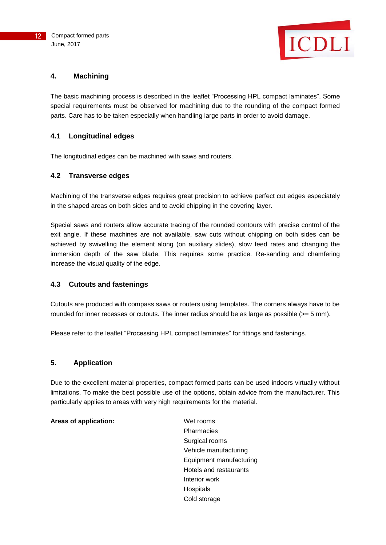

### **4. Machining**

The basic machining process is described in the leaflet "Processing HPL compact laminates". Some special requirements must be observed for machining due to the rounding of the compact formed parts. Care has to be taken especially when handling large parts in order to avoid damage.

### **4.1 Longitudinal edges**

The longitudinal edges can be machined with saws and routers.

### **4.2 Transverse edges**

Machining of the transverse edges requires great precision to achieve perfect cut edges especiately in the shaped areas on both sides and to avoid chipping in the covering layer.

Special saws and routers allow accurate tracing of the rounded contours with precise control of the exit angle. If these machines are not available, saw cuts without chipping on both sides can be achieved by swivelling the element along (on auxiliary slides), slow feed rates and changing the immersion depth of the saw blade. This requires some practice. Re-sanding and chamfering increase the visual quality of the edge.

### **4.3 Cutouts and fastenings**

Cutouts are produced with compass saws or routers using templates. The corners always have to be rounded for inner recesses or cutouts. The inner radius should be as large as possible (>= 5 mm).

Please refer to the leaflet "Processing HPL compact laminates" for fittings and fastenings.

### **5. Application**

Due to the excellent material properties, compact formed parts can be used indoors virtually without limitations. To make the best possible use of the options, obtain advice from the manufacturer. This particularly applies to areas with very high requirements for the material.

#### Areas of application: Wet rooms

Pharmacies Surgical rooms Vehicle manufacturing Equipment manufacturing Hotels and restaurants Interior work **Hospitals** Cold storage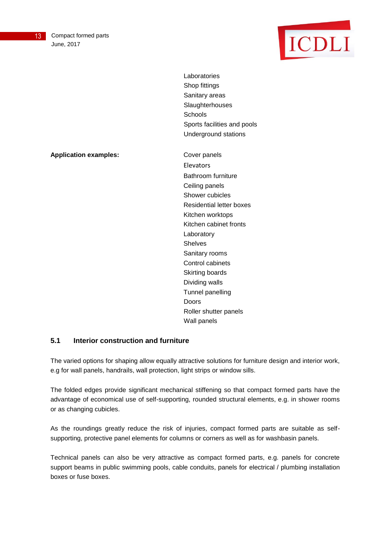

Laboratories Shop fittings Sanitary areas **Slaughterhouses Schools** Sports facilities and pools Underground stations

**Application examples:** Cover panels

Elevators Bathroom furniture Ceiling panels Shower cubicles Residential letter boxes Kitchen worktops Kitchen cabinet fronts Laboratory Shelves Sanitary rooms Control cabinets Skirting boards Dividing walls Tunnel panelling Doors Roller shutter panels Wall panels

### **5.1 Interior construction and furniture**

The varied options for shaping allow equally attractive solutions for furniture design and interior work, e.g for wall panels, handrails, wall protection, light strips or window sills.

The folded edges provide significant mechanical stiffening so that compact formed parts have the advantage of economical use of self-supporting, rounded structural elements, e.g. in shower rooms or as changing cubicles.

As the roundings greatly reduce the risk of injuries, compact formed parts are suitable as selfsupporting, protective panel elements for columns or corners as well as for washbasin panels.

Technical panels can also be very attractive as compact formed parts, e.g. panels for concrete support beams in public swimming pools, cable conduits, panels for electrical / plumbing installation boxes or fuse boxes.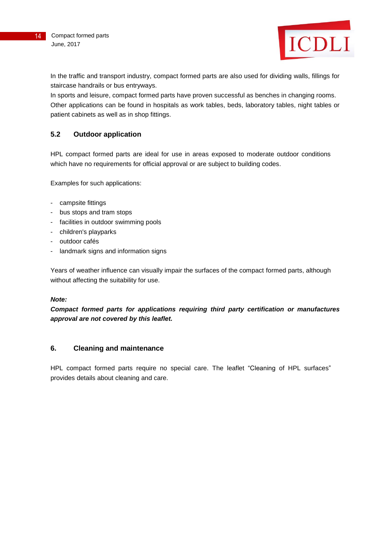

In the traffic and transport industry, compact formed parts are also used for dividing walls, fillings for staircase handrails or bus entryways.

In sports and leisure, compact formed parts have proven successful as benches in changing rooms. Other applications can be found in hospitals as work tables, beds, laboratory tables, night tables or patient cabinets as well as in shop fittings.

### **5.2 Outdoor application**

HPL compact formed parts are ideal for use in areas exposed to moderate outdoor conditions which have no requirements for official approval or are subject to building codes.

Examples for such applications:

- campsite fittings
- bus stops and tram stops
- facilities in outdoor swimming pools
- children's playparks
- outdoor cafés
- landmark signs and information signs

Years of weather influence can visually impair the surfaces of the compact formed parts, although without affecting the suitability for use.

#### *Note:*

*Compact formed parts for applications requiring third party certification or manufactures approval are not covered by this leaflet.*

### **6. Cleaning and maintenance**

HPL compact formed parts require no special care. The leaflet "Cleaning of HPL surfaces" provides details about cleaning and care.